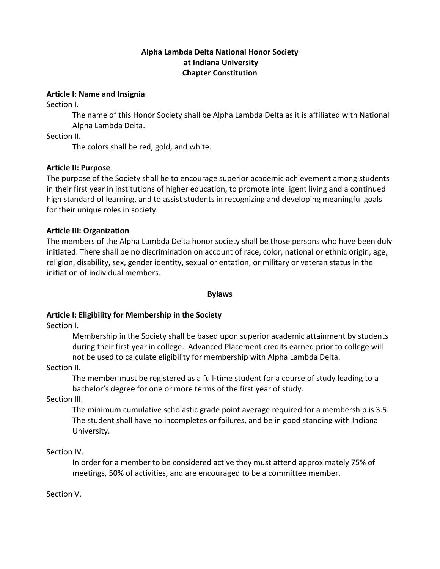# **Alpha Lambda Delta National Honor Society at Indiana University Chapter Constitution**

#### **Article I: Name and Insignia**

Section I.

The name of this Honor Society shall be Alpha Lambda Delta as it is affiliated with National Alpha Lambda Delta.

Section II.

The colors shall be red, gold, and white.

### **Article II: Purpose**

The purpose of the Society shall be to encourage superior academic achievement among students in their first year in institutions of higher education, to promote intelligent living and a continued high standard of learning, and to assist students in recognizing and developing meaningful goals for their unique roles in society.

### **Article III: Organization**

The members of the Alpha Lambda Delta honor society shall be those persons who have been duly initiated. There shall be no discrimination on account of race, color, national or ethnic origin, age, religion, disability, sex, gender identity, sexual orientation, or military or veteran status in the initiation of individual members.

#### **Bylaws**

# **Article I: Eligibility for Membership in the Society**

Section I.

Membership in the Society shall be based upon superior academic attainment by students during their first year in college. Advanced Placement credits earned prior to college will not be used to calculate eligibility for membership with Alpha Lambda Delta.

Section II.

The member must be registered as a full-time student for a course of study leading to a bachelor's degree for one or more terms of the first year of study.

Section III.

The minimum cumulative scholastic grade point average required for a membership is 3.5. The student shall have no incompletes or failures, and be in good standing with Indiana University.

Section IV.

In order for a member to be considered active they must attend approximately 75% of meetings, 50% of activities, and are encouraged to be a committee member.

Section V.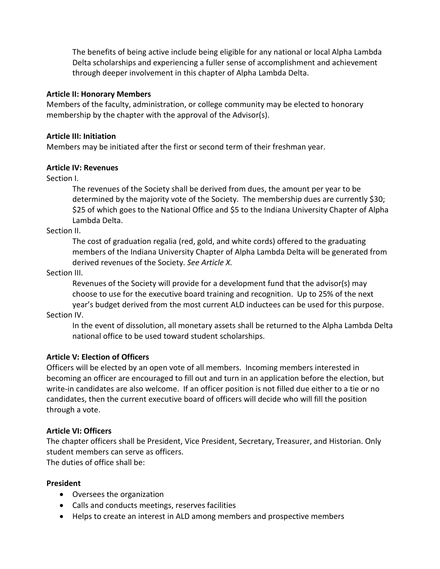The benefits of being active include being eligible for any national or local Alpha Lambda Delta scholarships and experiencing a fuller sense of accomplishment and achievement through deeper involvement in this chapter of Alpha Lambda Delta.

### **Article II: Honorary Members**

Members of the faculty, administration, or college community may be elected to honorary membership by the chapter with the approval of the Advisor(s).

### **Article III: Initiation**

Members may be initiated after the first or second term of their freshman year.

# **Article IV: Revenues**

Section I.

The revenues of the Society shall be derived from dues, the amount per year to be determined by the majority vote of the Society. The membership dues are currently \$30; \$25 of which goes to the National Office and \$5 to the Indiana University Chapter of Alpha Lambda Delta.

Section II.

The cost of graduation regalia (red, gold, and white cords) offered to the graduating members of the Indiana University Chapter of Alpha Lambda Delta will be generated from derived revenues of the Society. *See Article X.* 

Section III.

Revenues of the Society will provide for a development fund that the advisor(s) may choose to use for the executive board training and recognition. Up to 25% of the next year's budget derived from the most current ALD inductees can be used for this purpose.

Section IV.

In the event of dissolution, all monetary assets shall be returned to the Alpha Lambda Delta national office to be used toward student scholarships.

# **Article V: Election of Officers**

Officers will be elected by an open vote of all members. Incoming members interested in becoming an officer are encouraged to fill out and turn in an application before the election, but write-in candidates are also welcome. If an officer position is not filled due either to a tie or no candidates, then the current executive board of officers will decide who will fill the position through a vote.

# **Article VI: Officers**

The chapter officers shall be President, Vice President, Secretary, Treasurer, and Historian. Only student members can serve as officers. The duties of office shall be:

# **President**

- Oversees the organization
- Calls and conducts meetings, reserves facilities
- Helps to create an interest in ALD among members and prospective members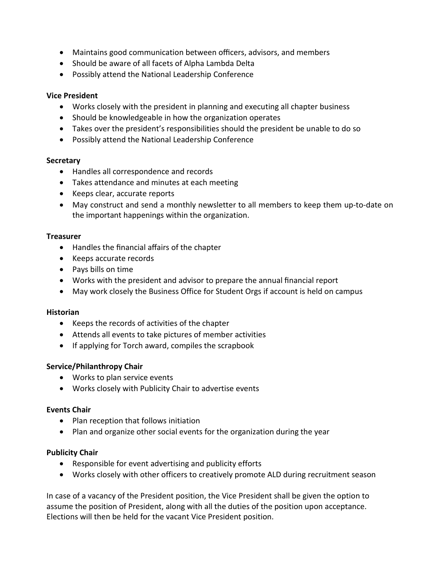- Maintains good communication between officers, advisors, and members
- Should be aware of all facets of Alpha Lambda Delta
- Possibly attend the National Leadership Conference

### **Vice President**

- Works closely with the president in planning and executing all chapter business
- Should be knowledgeable in how the organization operates
- Takes over the president's responsibilities should the president be unable to do so
- Possibly attend the National Leadership Conference

### **Secretary**

- Handles all correspondence and records
- Takes attendance and minutes at each meeting
- Keeps clear, accurate reports
- May construct and send a monthly newsletter to all members to keep them up-to-date on the important happenings within the organization.

### **Treasurer**

- Handles the financial affairs of the chapter
- Keeps accurate records
- Pays bills on time
- Works with the president and advisor to prepare the annual financial report
- May work closely the Business Office for Student Orgs if account is held on campus

# **Historian**

- Keeps the records of activities of the chapter
- Attends all events to take pictures of member activities
- If applying for Torch award, compiles the scrapbook

# **Service/Philanthropy Chair**

- Works to plan service events
- Works closely with Publicity Chair to advertise events

# **Events Chair**

- Plan reception that follows initiation
- Plan and organize other social events for the organization during the year

# **Publicity Chair**

- Responsible for event advertising and publicity efforts
- Works closely with other officers to creatively promote ALD during recruitment season

In case of a vacancy of the President position, the Vice President shall be given the option to assume the position of President, along with all the duties of the position upon acceptance. Elections will then be held for the vacant Vice President position.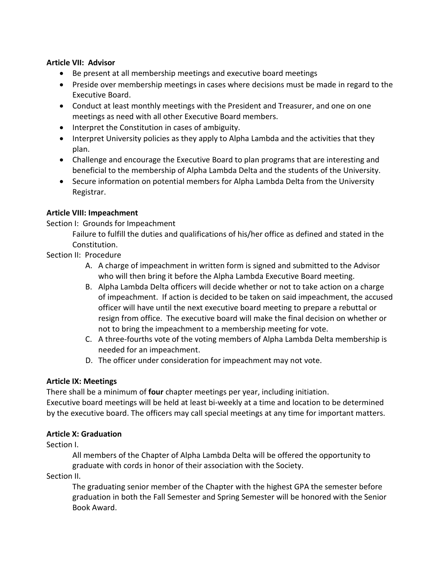### **Article VII: Advisor**

- Be present at all membership meetings and executive board meetings
- Preside over membership meetings in cases where decisions must be made in regard to the Executive Board.
- Conduct at least monthly meetings with the President and Treasurer, and one on one meetings as need with all other Executive Board members.
- Interpret the Constitution in cases of ambiguity.
- Interpret University policies as they apply to Alpha Lambda and the activities that they plan.
- Challenge and encourage the Executive Board to plan programs that are interesting and beneficial to the membership of Alpha Lambda Delta and the students of the University.
- Secure information on potential members for Alpha Lambda Delta from the University Registrar.

# **Article VIII: Impeachment**

Section I: Grounds for Impeachment

Failure to fulfill the duties and qualifications of his/her office as defined and stated in the Constitution.

Section II: Procedure

- A. A charge of impeachment in written form is signed and submitted to the Advisor who will then bring it before the Alpha Lambda Executive Board meeting.
- B. Alpha Lambda Delta officers will decide whether or not to take action on a charge of impeachment. If action is decided to be taken on said impeachment, the accused officer will have until the next executive board meeting to prepare a rebuttal or resign from office. The executive board will make the final decision on whether or not to bring the impeachment to a membership meeting for vote.
- C. A three-fourths vote of the voting members of Alpha Lambda Delta membership is needed for an impeachment.
- D. The officer under consideration for impeachment may not vote.

# **Article IX: Meetings**

There shall be a minimum of **four** chapter meetings per year, including initiation. Executive board meetings will be held at least bi-weekly at a time and location to be determined by the executive board. The officers may call special meetings at any time for important matters.

# **Article X: Graduation**

Section I.

All members of the Chapter of Alpha Lambda Delta will be offered the opportunity to graduate with cords in honor of their association with the Society.

Section II.

The graduating senior member of the Chapter with the highest GPA the semester before graduation in both the Fall Semester and Spring Semester will be honored with the Senior Book Award.